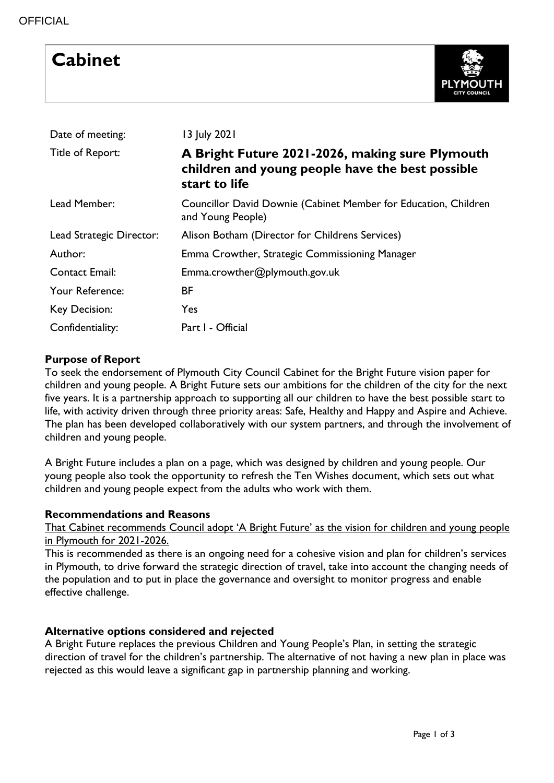# **Cabinet**



| Date of meeting:         | 13 July 2021                                                                                                         |
|--------------------------|----------------------------------------------------------------------------------------------------------------------|
| Title of Report:         | A Bright Future 2021-2026, making sure Plymouth<br>children and young people have the best possible<br>start to life |
| Lead Member:             | Councillor David Downie (Cabinet Member for Education, Children<br>and Young People)                                 |
| Lead Strategic Director: | Alison Botham (Director for Childrens Services)                                                                      |
| Author:                  | Emma Crowther, Strategic Commissioning Manager                                                                       |
| <b>Contact Email:</b>    | Emma.crowther@plymouth.gov.uk                                                                                        |
| Your Reference:          | BF                                                                                                                   |
| Key Decision:            | Yes                                                                                                                  |
| Confidentiality:         | Part I - Official                                                                                                    |

### **Purpose of Report**

To seek the endorsement of Plymouth City Council Cabinet for the Bright Future vision paper for children and young people. A Bright Future sets our ambitions for the children of the city for the next five years. It is a partnership approach to supporting all our children to have the best possible start to life, with activity driven through three priority areas: Safe, Healthy and Happy and Aspire and Achieve. The plan has been developed collaboratively with our system partners, and through the involvement of children and young people.

A Bright Future includes a plan on a page, which was designed by children and young people. Our young people also took the opportunity to refresh the Ten Wishes document, which sets out what children and young people expect from the adults who work with them.

### **Recommendations and Reasons**

That Cabinet recommends Council adopt 'A Bright Future' as the vision for children and young people in Plymouth for 2021-2026.

This is recommended as there is an ongoing need for a cohesive vision and plan for children's services in Plymouth, to drive forward the strategic direction of travel, take into account the changing needs of the population and to put in place the governance and oversight to monitor progress and enable effective challenge.

### **Alternative options considered and rejected**

A Bright Future replaces the previous Children and Young People's Plan, in setting the strategic direction of travel for the children's partnership. The alternative of not having a new plan in place was rejected as this would leave a significant gap in partnership planning and working.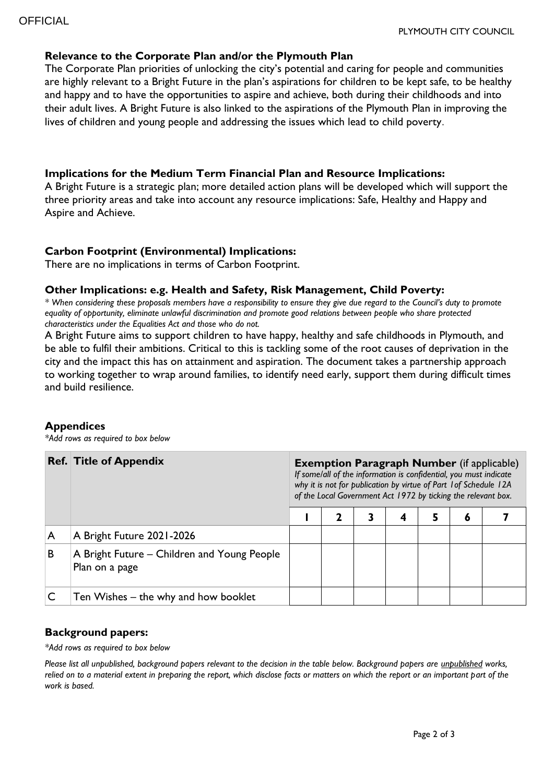#### **Relevance to the Corporate Plan and/or the Plymouth Plan**

The Corporate Plan priorities of unlocking the city's potential and caring for people and communities are highly relevant to a Bright Future in the plan's aspirations for children to be kept safe, to be healthy and happy and to have the opportunities to aspire and achieve, both during their childhoods and into their adult lives. A Bright Future is also linked to the aspirations of the Plymouth Plan in improving the lives of children and young people and addressing the issues which lead to child poverty.

### **Implications for the Medium Term Financial Plan and Resource Implications:**

A Bright Future is a strategic plan; more detailed action plans will be developed which will support the three priority areas and take into account any resource implications: Safe, Healthy and Happy and Aspire and Achieve.

### **Carbon Footprint (Environmental) Implications:**

There are no implications in terms of Carbon Footprint.

#### **Other Implications: e.g. Health and Safety, Risk Management, Child Poverty:**

*\* When considering these proposals members have a responsibility to ensure they give due regard to the Council's duty to promote equality of opportunity, eliminate unlawful discrimination and promote good relations between people who share protected characteristics under the Equalities Act and those who do not.*

A Bright Future aims to support children to have happy, healthy and safe childhoods in Plymouth, and be able to fulfil their ambitions. Critical to this is tackling some of the root causes of deprivation in the city and the impact this has on attainment and aspiration. The document takes a partnership approach to working together to wrap around families, to identify need early, support them during difficult times and build resilience.

#### **Appendices**

*\*Add rows as required to box below*

|   | <b>Ref. Title of Appendix</b>                                 | <b>Exemption Paragraph Number</b> (if applicable)<br>If some/all of the information is confidential, you must indicate<br>why it is not for publication by virtue of Part 1 of Schedule 12A<br>of the Local Government Act 1972 by ticking the relevant box. |  |   |   |   |   |  |  |  |
|---|---------------------------------------------------------------|--------------------------------------------------------------------------------------------------------------------------------------------------------------------------------------------------------------------------------------------------------------|--|---|---|---|---|--|--|--|
|   |                                                               |                                                                                                                                                                                                                                                              |  | 3 | 4 | 5 | 6 |  |  |  |
| A | A Bright Future 2021-2026                                     |                                                                                                                                                                                                                                                              |  |   |   |   |   |  |  |  |
| B | A Bright Future – Children and Young People<br>Plan on a page |                                                                                                                                                                                                                                                              |  |   |   |   |   |  |  |  |
|   | Ten Wishes – the why and how booklet                          |                                                                                                                                                                                                                                                              |  |   |   |   |   |  |  |  |

### **Background papers:**

*\*Add rows as required to box below*

*Please list all unpublished, background papers relevant to the decision in the table below. Background papers are unpublished works, relied on to a material extent in preparing the report, which disclose facts or matters on which the report or an important part of the work is based.*